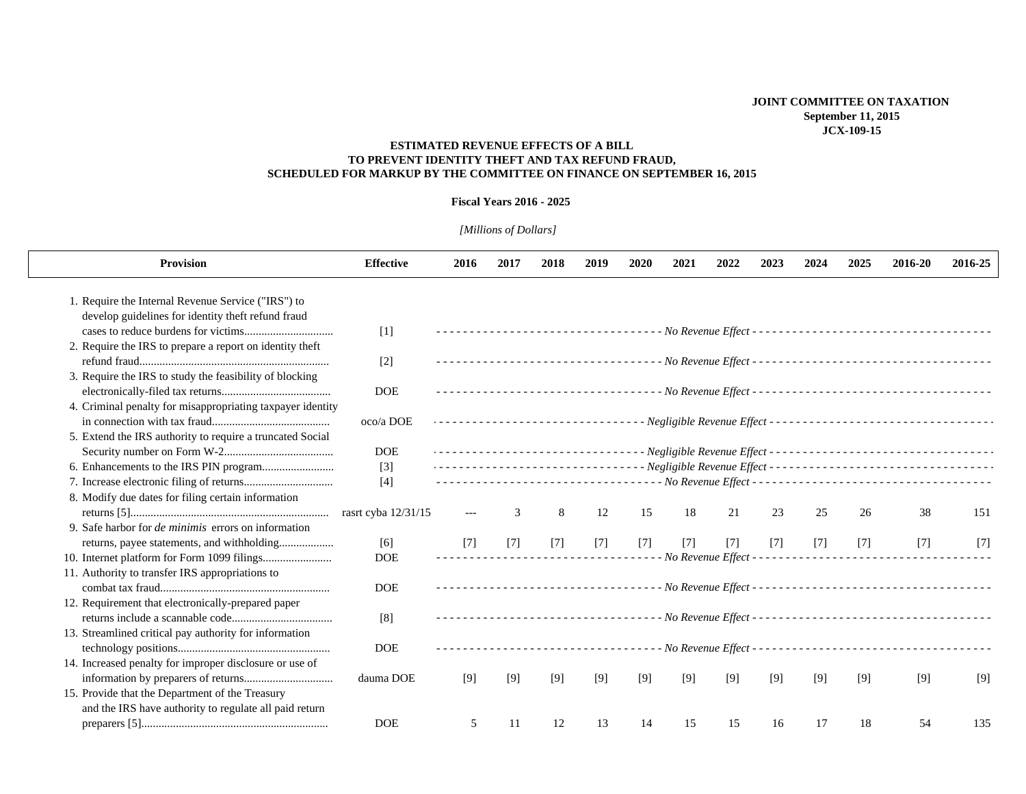## **ESTIMATED REVENUE EFFECTS OF A BILL TO PREVENT IDENTITY THEFT AND TAX REFUND FRAUD, SCHEDULED FOR MARKUP BY THE COMMITTEE ON FINANCE ON SEPTEMBER 16, 2015**

## **Fiscal Years 2016 - 2025**

## *[Millions of Dollars]*

| <b>Provision</b>                                           | <b>Effective</b>    | 2016  | 2017  | 2018  | 2019  | 2020  | 2021  | 2022              | 2023  | 2024  | 2025  | 2016-20 | 2016-25 |
|------------------------------------------------------------|---------------------|-------|-------|-------|-------|-------|-------|-------------------|-------|-------|-------|---------|---------|
| 1. Require the Internal Revenue Service ("IRS") to         |                     |       |       |       |       |       |       |                   |       |       |       |         |         |
| develop guidelines for identity theft refund fraud         |                     |       |       |       |       |       |       |                   |       |       |       |         |         |
|                                                            | $[1]$               |       |       |       |       |       |       |                   |       |       |       |         |         |
| 2. Require the IRS to prepare a report on identity theft   |                     |       |       |       |       |       |       |                   |       |       |       |         |         |
|                                                            | $[2]$               |       |       |       |       |       |       |                   |       |       |       |         |         |
| 3. Require the IRS to study the feasibility of blocking    |                     |       |       |       |       |       |       |                   |       |       |       |         |         |
|                                                            | <b>DOE</b>          |       |       |       |       |       |       |                   |       |       |       |         |         |
| 4. Criminal penalty for misappropriating taxpayer identity |                     |       |       |       |       |       |       |                   |       |       |       |         |         |
|                                                            | oco/a DOE           |       |       |       |       |       |       |                   |       |       |       |         |         |
| 5. Extend the IRS authority to require a truncated Social  |                     |       |       |       |       |       |       |                   |       |       |       |         |         |
|                                                            | <b>DOE</b>          |       |       |       |       |       |       |                   |       |       |       |         |         |
|                                                            | $[3]$               |       |       |       |       |       |       |                   |       |       |       |         |         |
|                                                            | $[4]$               |       |       |       |       |       |       |                   |       |       |       |         |         |
| 8. Modify due dates for filing certain information         |                     |       |       |       |       |       |       |                   |       |       |       |         |         |
|                                                            | rasrt cyba 12/31/15 |       |       | 8     | 12    | 15    | 18    | 21                | 23    | 25    | 26    | 38      | 151     |
| 9. Safe harbor for <i>de minimis</i> errors on information |                     |       |       |       |       |       |       |                   |       |       |       |         |         |
| returns, payee statements, and withholding                 | [6]                 | $[7]$ | $[7]$ | $[7]$ | $[7]$ | $[7]$ | $[7]$ | $[7]$             | $[7]$ | $[7]$ | $[7]$ | $[7]$   | $[7]$   |
|                                                            | <b>DOE</b>          |       |       |       |       |       |       | No Revenue Effect |       |       |       |         |         |
| 11. Authority to transfer IRS appropriations to            |                     |       |       |       |       |       |       |                   |       |       |       |         |         |
|                                                            | <b>DOE</b>          |       |       |       |       |       |       |                   |       |       |       |         |         |
| 12. Requirement that electronically-prepared paper         |                     |       |       |       |       |       |       |                   |       |       |       |         |         |
|                                                            | [8]                 |       |       |       |       |       |       |                   |       |       |       |         |         |
| 13. Streamlined critical pay authority for information     |                     |       |       |       |       |       |       |                   |       |       |       |         |         |
|                                                            | <b>DOE</b>          |       |       |       |       |       |       |                   |       |       |       |         |         |
| 14. Increased penalty for improper disclosure or use of    |                     |       |       |       |       |       |       |                   |       |       |       |         |         |
|                                                            | dauma DOE           | [9]   | [9]   | [9]   | $[9]$ | [9]   | [9]   | [9]               | [9]   | [9]   | [9]   | [9]     | [9]     |
| 15. Provide that the Department of the Treasury            |                     |       |       |       |       |       |       |                   |       |       |       |         |         |
| and the IRS have authority to regulate all paid return     |                     |       |       |       |       |       |       |                   |       |       |       |         |         |
|                                                            | <b>DOE</b>          | 5     | 11    | 12    | 13    | 14    | 15    | 15                | 16    | 17    | 18    | 54      | 135     |